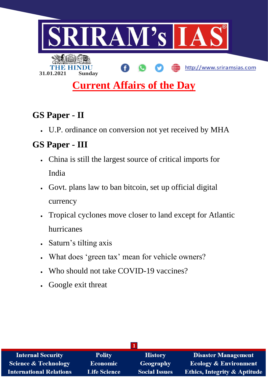

# **Current Affairs of the Day**

# **GS Paper - II**

U.P. ordinance on conversion not yet received by MHA

# **GS Paper - III**

- China is still the largest source of critical imports for India
- Govt. plans law to ban bitcoin, set up official digital currency
- Tropical cyclones move closer to land except for Atlantic hurricanes
- Saturn's tilting axis
- What does 'green tax' mean for vehicle owners?
- Who should not take COVID-19 vaccines?
- Google exit threat

| <b>Internal Security</b>        | <b>Polity</b>       | <b>History</b>       | <b>Disaster Management</b>              |  |
|---------------------------------|---------------------|----------------------|-----------------------------------------|--|
| <b>Science &amp; Technology</b> | <b>Economic</b>     | Geography            | <b>Ecology &amp; Environment</b>        |  |
| <b>International Relations</b>  | <b>Life Science</b> | <b>Social Issues</b> | <b>Ethics, Integrity &amp; Aptitude</b> |  |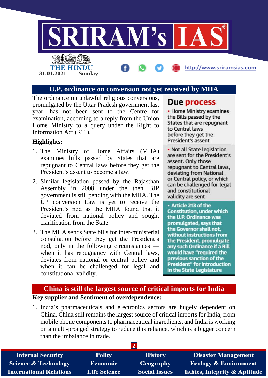

#### **U.P. ordinance on conversion not yet received by MHA**

The ordinance on unlawful religious conversions, promulgated by the Uttar Pradesh government last year, has not been sent to the Centre for examination, according to a reply from the Union Home Ministry to a query under the Right to Information Act (RTI).

#### **Highlights:**

- 1. The Ministry of Home Affairs (MHA) examines bills passed by States that are repugnant to Central laws before they get the President's assent to become a law.
- 2. Similar legislation passed by the Rajasthan Assembly in 2008 under the then BJP government is still pending with the MHA. The UP conversion Law is yet to receive the President's nod as the MHA found that it deviated from national policy and sought clarification from the State.
- 3. The MHA sends State bills for inter-ministerial consultation before they get the President's nod, only in the following circumstances when it has repugnancy with Central laws, deviates from national or central policy and when it can be challenged for legal and constitutional validity.

# Due process

• Home Ministry examines the Bills passed by the States that are repugnant to Central laws before they get the President's assent

• Not all State legislation are sent for the President's assent. Only those repugnant to Central laws. deviating from National or Central policy, or which can be challenged for legal and constitutional validity are sent

• Article 213 of the **Constitution, under which** the U.P. Ordinance was promulgated, says that the Governor shall not. without instructions from the President, promulgate any such Ordinance if a Bill would have "required the previous sanction of the **President" for introduction** in the State Legislature

### **China is still the largest source of critical imports for India Key supplier and Sentiment of overdependence:**

1. India's pharmaceuticals and electronics sectors are hugely dependent on China. China still remains the largest source of critical imports for India, from mobile phone components to pharmaceutical ingredients, and India is working on a multi-pronged strategy to reduce this reliance, which is a bigger concern than the imbalance in trade.

| <b>Internal Security</b>       | <b>Polity</b>       | <b>History</b>       | <b>Disaster Management</b>              |
|--------------------------------|---------------------|----------------------|-----------------------------------------|
| Science & Technology           | <b>Economic</b>     | Geography            | <b>Ecology &amp; Environment</b>        |
| <b>International Relations</b> | <b>Life Science</b> | <b>Social Issues</b> | <b>Ethics, Integrity &amp; Aptitude</b> |
|                                |                     |                      |                                         |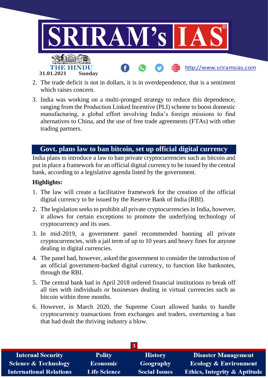

- 2. The trade deficit is not in dollars, it is in overdependence, that is a sentiment which raises concern.
- 3. India was working on a multi-pronged strategy to reduce this dependence, ranging from the Production Linked Incentive (PLI) scheme to boost domestic manufacturing, a global effort involving India's foreign missions to find alternatives to China, and the use of free trade agreements (FTAs) with other trading partners.

# **Govt. plans law to ban bitcoin, set up official digital currency**

India plans to introduce a law to ban private cryptocurrencies such as bitcoin and put in place a framework for an official digital currency to be issued by the central bank, according to a legislative agenda listed by the government.

#### **Highlights:**

- 1. The law will create a facilitative framework for the creation of the official digital currency to be issued by the Reserve Bank of India (RBI).
- 2. The legislation seeks to prohibit all private cryptocurrencies in India, however, it allows for certain exceptions to promote the underlying technology of cryptocurrency and its uses.
- 3. In mid-2019, a government panel recommended banning all private cryptocurrencies, with a jail term of up to 10 years and heavy fines for anyone dealing in digital currencies.
- 4. The panel had, however, asked the government to consider the introduction of an official government-backed digital currency, to function like banknotes, through the RBI.
- 5. The central bank had in April 2018 ordered financial institutions to break off all ties with individuals or businesses dealing in virtual currencies such as bitcoin within three months.
- 6. However, in March 2020, the Supreme Court allowed banks to handle cryptocurrency transactions from exchanges and traders, overturning a ban that had dealt the thriving industry a blow.

| <b>Internal Security</b>        | <b>Polity</b>       | <b>History</b>       | <b>Disaster Management</b>              |  |
|---------------------------------|---------------------|----------------------|-----------------------------------------|--|
| <b>Science &amp; Technology</b> | <b>Economic</b>     | Geography            | <b>Ecology &amp; Environment</b>        |  |
| <b>International Relations</b>  | <b>Life Science</b> | <b>Social Issues</b> | <b>Ethics, Integrity &amp; Aptitude</b> |  |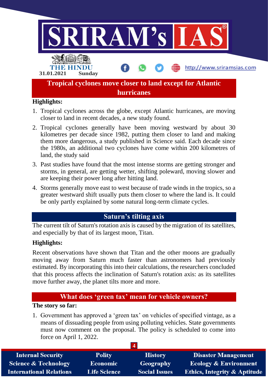

- 1. Tropical cyclones across the globe, except Atlantic hurricanes, are moving closer to land in recent decades, a new study found.
- 2. Tropical cyclones generally have been moving westward by about 30 kilometres per decade since 1982, putting them closer to land and making them more dangerous, a study published in Science said. Each decade since the 1980s, an additional two cyclones have come within 200 kilometres of land, the study said
- 3. Past studies have found that the most intense storms are getting stronger and storms, in general, are getting wetter, shifting poleward, moving slower and are keeping their power long after hitting land.
- 4. Storms generally move east to west because of trade winds in the tropics, so a greater westward shift usually puts them closer to where the land is. It could be only partly explained by some natural long-term climate cycles.

# **Saturn's tilting axis**

The current tilt of Saturn's rotation axis is caused by the migration of its satellites, and especially by that of its largest moon, Titan.

### **Highlights:**

Recent observations have shown that Titan and the other moons are gradually moving away from Saturn much faster than astronomers had previously estimated. By incorporating this into their calculations, the researchers concluded that this process affects the inclination of Saturn's rotation axis: as its satellites move further away, the planet tilts more and more.

# **What does 'green tax' mean for vehicle owners?**

# **The story so far:**

1. Government has approved a 'green tax' on vehicles of specified vintage, as a means of dissuading people from using polluting vehicles. State governments must now comment on the proposal. The policy is scheduled to come into force on April 1, 2022.

| <b>Internal Security</b>        | <b>Polity</b>       | <b>History</b>       | <b>Disaster Management</b>              |
|---------------------------------|---------------------|----------------------|-----------------------------------------|
| <b>Science &amp; Technology</b> | <b>Economic</b>     | Geography            | <b>Ecology &amp; Environment</b>        |
| <b>International Relations</b>  | <b>Life Science</b> | <b>Social Issues</b> | <b>Ethics, Integrity &amp; Aptitude</b> |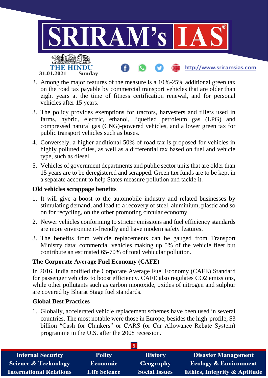

- 2. Among the major features of the measure is a 10%-25% additional green tax on the road tax payable by commercial transport vehicles that are older than eight years at the time of fitness certification renewal, and for personal vehicles after 15 years.
- 3. The policy provides exemptions for tractors, harvesters and tillers used in farms, hybrid, electric, ethanol, liquefied petroleum gas (LPG) and compressed natural gas (CNG)-powered vehicles, and a lower green tax for public transport vehicles such as buses.
- 4. Conversely, a higher additional 50% of road tax is proposed for vehicles in highly polluted cities, as well as a differential tax based on fuel and vehicle type, such as diesel.
- 5. Vehicles of government departments and public sector units that are older than 15 years are to be deregistered and scrapped. Green tax funds are to be kept in a separate account to help States measure pollution and tackle it.

#### **Old vehicles scrappage benefits**

- 1. It will give a boost to the automobile industry and related businesses by stimulating demand, and lead to a recovery of steel, aluminium, plastic and so on for recycling, on the other promoting circular economy.
- 2. Newer vehicles conforming to stricter emissions and fuel efficiency standards are more environment-friendly and have modern safety features.
- 3. The benefits from vehicle replacements can be gauged from Transport Ministry data: commercial vehicles making up 5% of the vehicle fleet but contribute an estimated 65-70% of total vehicular pollution.

### **The Corporate Average Fuel Economy (CAFE)**

In 2016, India notified the Corporate Average Fuel Economy (CAFE) Standard for passenger vehicles to boost efficiency. CAFE also regulates CO2 emissions, while other pollutants such as carbon monoxide, oxides of nitrogen and sulphur are covered by Bharat Stage fuel standards.

### **Global Best Practices**

1. Globally, accelerated vehicle replacement schemes have been used in several countries. The most notable were those in Europe, besides the high-profile, \$3 billion "Cash for Clunkers" or CARS (or Car Allowance Rebate System) programme in the U.S. after the 2008 recession.

| <b>Internal Security</b>        | <b>Polity</b>       | <b>History</b>       | <b>Disaster Management</b>              |
|---------------------------------|---------------------|----------------------|-----------------------------------------|
| <b>Science &amp; Technology</b> | <b>Economic</b>     | <b>Geography</b>     | <b>Ecology &amp; Environment</b>        |
| <b>International Relations</b>  | <b>Life Science</b> | <b>Social Issues</b> | <b>Ethics, Integrity &amp; Aptitude</b> |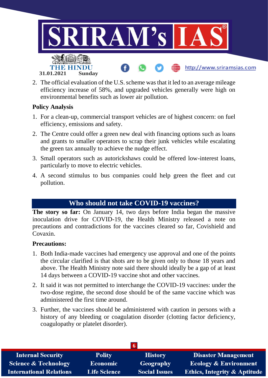

2. The official evaluation of the U.S. scheme was that it led to an average mileage efficiency increase of 58%, and upgraded vehicles generally were high on environmental benefits such as lower air pollution.

#### **Policy Analysis**

- 1. For a clean-up, commercial transport vehicles are of highest concern: on fuel efficiency, emissions and safety.
- 2. The Centre could offer a green new deal with financing options such as loans and grants to smaller operators to scrap their junk vehicles while escalating the green tax annually to achieve the nudge effect.
- 3. Small operators such as autorickshaws could be offered low-interest loans, particularly to move to electric vehicles.
- 4. A second stimulus to bus companies could help green the fleet and cut pollution.

## **Who should not take COVID-19 vaccines?**

**The story so far:** On January 14, two days before India began the massive inoculation drive for COVID-19, the Health Ministry released a note on precautions and contradictions for the vaccines cleared so far, Covishield and Covaxin.

#### **Precautions:**

- 1. Both India-made vaccines had emergency use approval and one of the points the circular clarified is that shots are to be given only to those 18 years and above. The Health Ministry note said there should ideally be a gap of at least 14 days between a COVID-19 vaccine shot and other vaccines.
- 2. It said it was not permitted to interchange the COVID-19 vaccines: under the two-dose regime, the second dose should be of the same vaccine which was administered the first time around.
- 3. Further, the vaccines should be administered with caution in persons with a history of any bleeding or coagulation disorder (clotting factor deficiency, coagulopathy or platelet disorder).

| <b>Internal Security</b>        | <b>Polity</b>       | <b>History</b>       | <b>Disaster Management</b>              |  |
|---------------------------------|---------------------|----------------------|-----------------------------------------|--|
| <b>Science &amp; Technology</b> | <b>Economic</b>     | Geography            | <b>Ecology &amp; Environment</b>        |  |
| <b>International Relations</b>  | <b>Life Science</b> | <b>Social Issues</b> | <b>Ethics, Integrity &amp; Aptitude</b> |  |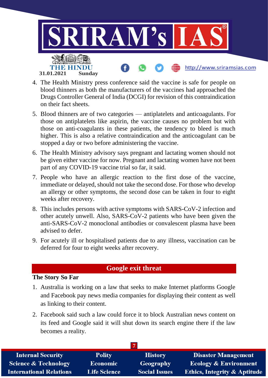

- 4. The Health Ministry press conference said the vaccine is safe for people on blood thinners as both the manufacturers of the vaccines had approached the Drugs Controller General of India (DCGI) for revision of this contraindication on their fact sheets.
- 5. Blood thinners are of two categories antiplatelets and anticoagulants. For those on antiplatelets like aspirin, the vaccine causes no problem but with those on anti-coagulants in these patients, the tendency to bleed is much higher. This is also a relative contraindication and the anticoagulant can be stopped a day or two before administering the vaccine.
- 6. The Health Ministry advisory says pregnant and lactating women should not be given either vaccine for now. Pregnant and lactating women have not been part of any COVID-19 vaccine trial so far, it said.
- 7. People who have an allergic reaction to the first dose of the vaccine, immediate or delayed, should not take the second dose. For those who develop an allergy or other symptoms, the second dose can be taken in four to eight weeks after recovery.
- 8. This includes persons with active symptoms with SARS-CoV-2 infection and other acutely unwell. Also, SARS-CoV-2 patients who have been given the anti-SARS-CoV-2 monoclonal antibodies or convalescent plasma have been advised to defer.
- 9. For acutely ill or hospitalised patients due to any illness, vaccination can be deferred for four to eight weeks after recovery.

# **Google exit threat**

#### **The Story So Far**

- 1. Australia is working on a law that seeks to make Internet platforms Google and Facebook pay news media companies for displaying their content as well as linking to their content.
- 2. Facebook said such a law could force it to block Australian news content on its feed and Google said it will shut down its search engine there if the law becomes a reality.

| <b>Internal Security</b>       | <b>Polity</b>       | <b>History</b>       | <b>Disaster Management</b>              |  |
|--------------------------------|---------------------|----------------------|-----------------------------------------|--|
| Science & Technology           | <b>Economic</b>     | Geography            | <b>Ecology &amp; Environment</b>        |  |
| <b>International Relations</b> | <b>Life Science</b> | <b>Social Issues</b> | <b>Ethics, Integrity &amp; Aptitude</b> |  |